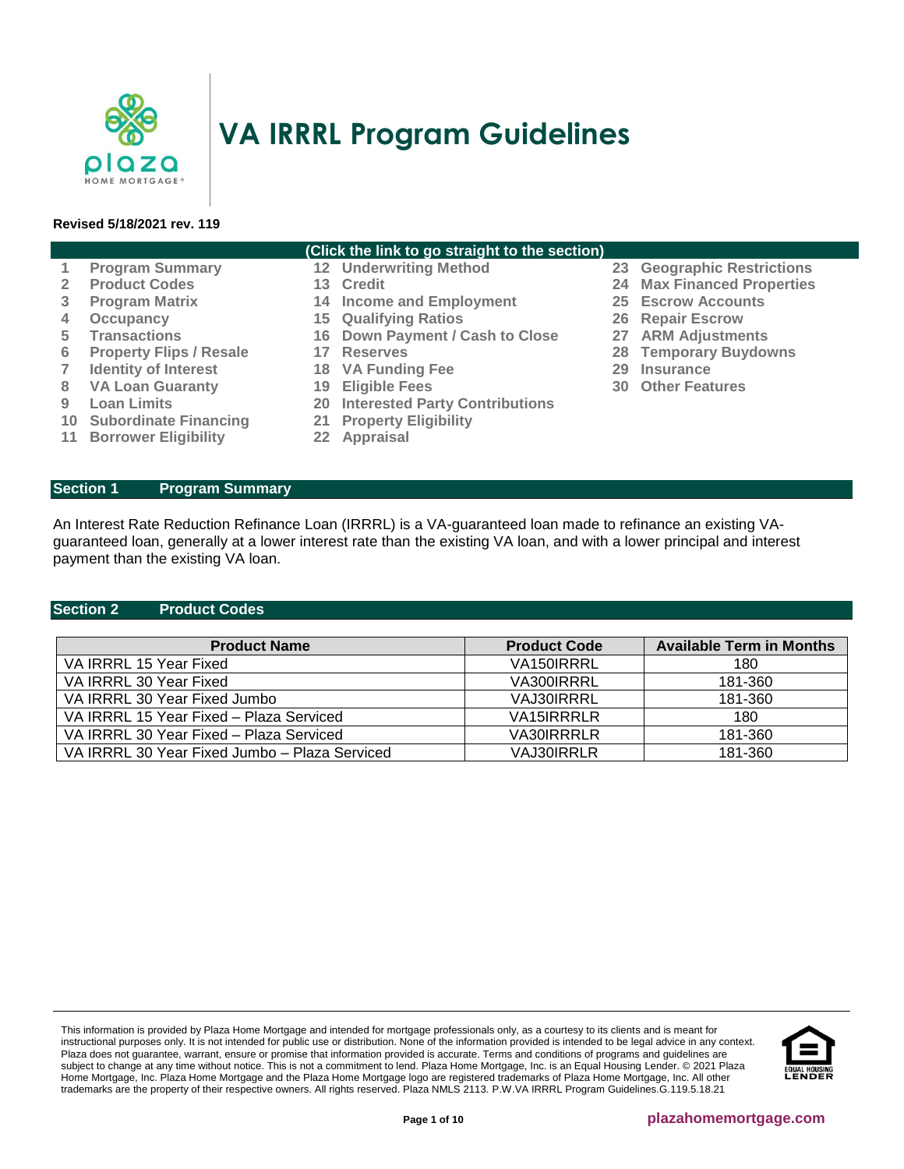

# **VA IRRRL Program Guidelines**

## **Revised 5/18/2021 rev. 119**

| (Click the link to go straight to the section) |                                |     |                                          |    |                                   |
|------------------------------------------------|--------------------------------|-----|------------------------------------------|----|-----------------------------------|
| $\mathbf{1}$                                   | <b>Program Summary</b>         |     | <b>12 Underwriting Method</b>            |    | 23 Geographic Restrictions        |
| $\mathbf{2}^{\prime}$                          | <b>Product Codes</b>           |     | 13 Credit                                |    | <b>24 Max Financed Properties</b> |
| 3                                              | <b>Program Matrix</b>          |     | <b>14 Income and Employment</b>          |    | <b>25 Escrow Accounts</b>         |
| 4                                              | Occupancy                      |     | <b>15 Qualifying Ratios</b>              |    | 26 Repair Escrow                  |
| 5.                                             | <b>Transactions</b>            |     | 16 Down Payment / Cash to Close          |    | 27 ARM Adjustments                |
| 6                                              | <b>Property Flips / Resale</b> |     | 17 Reserves                              |    | <b>28 Temporary Buydowns</b>      |
| 7                                              | <b>Identity of Interest</b>    |     | 18 VA Funding Fee                        | 29 | Insurance                         |
| 8                                              | <b>VA Loan Guaranty</b>        | 19  | <b>Eligible Fees</b>                     |    | <b>30 Other Features</b>          |
| 9                                              | <b>Loan Limits</b>             |     | <b>20 Interested Party Contributions</b> |    |                                   |
| 10 <sup>°</sup>                                | <b>Subordinate Financing</b>   | 21  | <b>Property Eligibility</b>              |    |                                   |
| 11 <sup>1</sup>                                | <b>Borrower Eligibility</b>    | 22. | Appraisal                                |    |                                   |

<span id="page-0-0"></span>**Section 1 Program Summary**

An Interest Rate Reduction Refinance Loan (IRRRL) is a VA-guaranteed loan made to refinance an existing VAguaranteed loan, generally at a lower interest rate than the existing VA loan, and with a lower principal and interest payment than the existing VA loan.

# <span id="page-0-1"></span>**Section 2 Product Codes**

| <b>Product Name</b>                           | <b>Product Code</b> | <b>Available Term in Months</b> |
|-----------------------------------------------|---------------------|---------------------------------|
| VA IRRRL 15 Year Fixed                        | VA150IRRRL          | 180                             |
| VA IRRRL 30 Year Fixed                        | VA300IRRRL          | 181-360                         |
| VA IRRRL 30 Year Fixed Jumbo                  | VAJ30IRRRL          | 181-360                         |
| VA IRRRL 15 Year Fixed - Plaza Serviced       | VA15 <b>RRRLR</b>   | 180                             |
| VA IRRRL 30 Year Fixed - Plaza Serviced       | VA30IRRRLR          | 181-360                         |
| VA IRRRL 30 Year Fixed Jumbo - Plaza Serviced | VAJ30IRRLR          | 181-360                         |

This information is provided by Plaza Home Mortgage and intended for mortgage professionals only, as a courtesy to its clients and is meant for instructional purposes only. It is not intended for public use or distribution. None of the information provided is intended to be legal advice in any context. Plaza does not guarantee, warrant, ensure or promise that information provided is accurate. Terms and conditions of programs and guidelines are subject to change at any time without notice. This is not a commitment to lend. Plaza Home Mortgage, Inc. is an Equal Housing Lender. © 2021 Plaza Home Mortgage, Inc. Plaza Home Mortgage and the Plaza Home Mortgage logo are registered trademarks of Plaza Home Mortgage, Inc. All other trademarks are the property of their respective owners. All rights reserved. Plaza NMLS 2113. P.W.VA IRRRL Program Guidelines.G.119.5.18.21

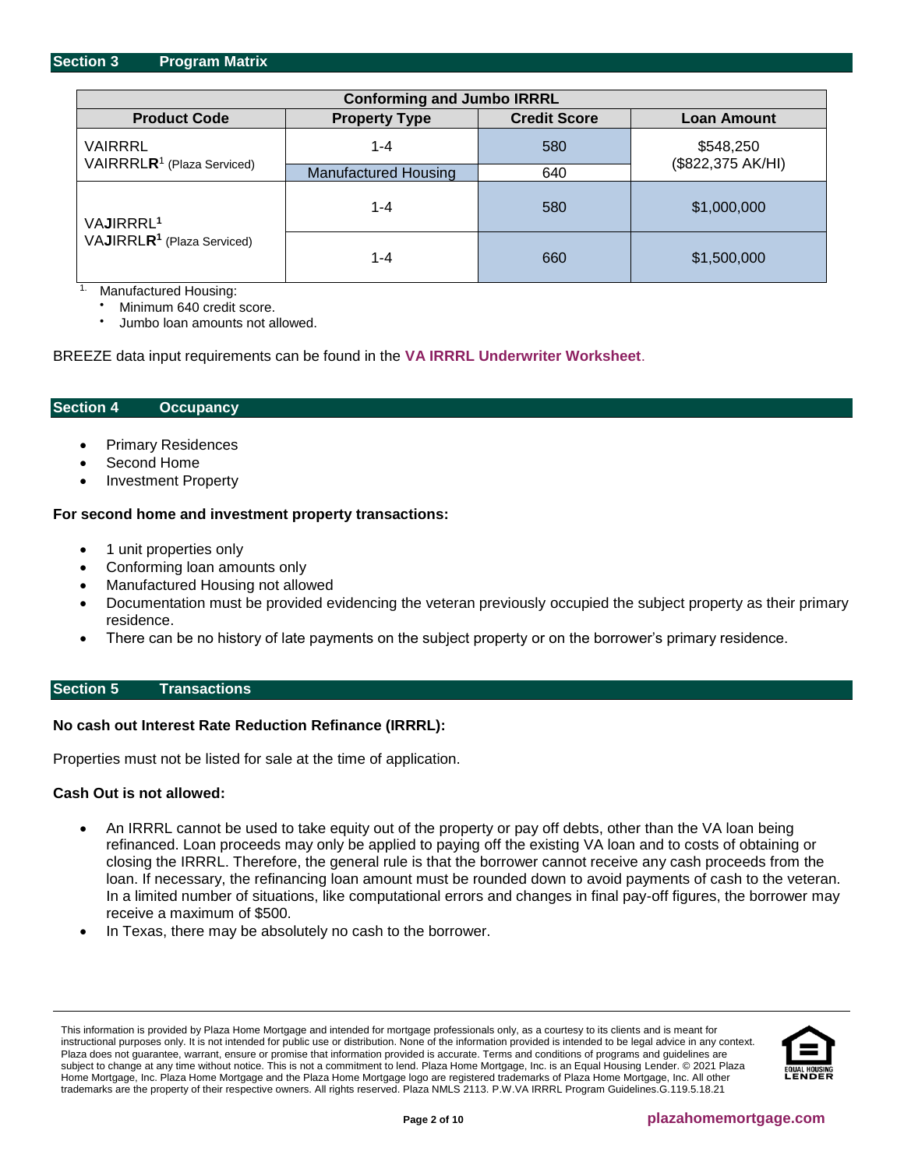<span id="page-1-0"></span>

| <b>Conforming and Jumbo IRRRL</b>      |                             |                     |                    |  |
|----------------------------------------|-----------------------------|---------------------|--------------------|--|
| <b>Product Code</b>                    | <b>Property Type</b>        | <b>Credit Score</b> | <b>Loan Amount</b> |  |
| VAIRRRL                                | $1 - 4$                     | 580                 | \$548,250          |  |
| VAIRRRLR <sup>1</sup> (Plaza Serviced) | <b>Manufactured Housing</b> | 640                 | (\$822,375 AK/HI)  |  |
| VAJIRRRL <sup>1</sup>                  | $1 - 4$                     | 580                 | \$1,000,000        |  |
| VAJIRRLR <sup>1</sup> (Plaza Serviced) | 1-4                         | 660                 | \$1,500,000        |  |

Manufactured Housing:

Minimum 640 credit score.

• Jumbo loan amounts not allowed.

BREEZE data input requirements can be found in the **[VA IRRRL Underwriter Worksheet](https://resourcecenter.plazahomemortgage.com/PHMIDocPublisher.nsf/All/EAEE227E964A7B7188257F68007717C5?OpenDocument)**.

#### <span id="page-1-1"></span>**Section 4 Occupancy**

- Primary Residences
- Second Home
- Investment Property

#### **For second home and investment property transactions:**

- 1 unit properties only
- Conforming loan amounts only
- Manufactured Housing not allowed
- Documentation must be provided evidencing the veteran previously occupied the subject property as their primary residence.
- There can be no history of late payments on the subject property or on the borrower's primary residence.

# <span id="page-1-2"></span>**Section 5 Transactions**

#### **No cash out Interest Rate Reduction Refinance (IRRRL):**

Properties must not be listed for sale at the time of application.

#### **Cash Out is not allowed:**

- An IRRRL cannot be used to take equity out of the property or pay off debts, other than the VA loan being refinanced. Loan proceeds may only be applied to paying off the existing VA loan and to costs of obtaining or closing the IRRRL. Therefore, the general rule is that the borrower cannot receive any cash proceeds from the loan. If necessary, the refinancing loan amount must be rounded down to avoid payments of cash to the veteran. In a limited number of situations, like computational errors and changes in final pay-off figures, the borrower may receive a maximum of \$500.
- In Texas, there may be absolutely no cash to the borrower.

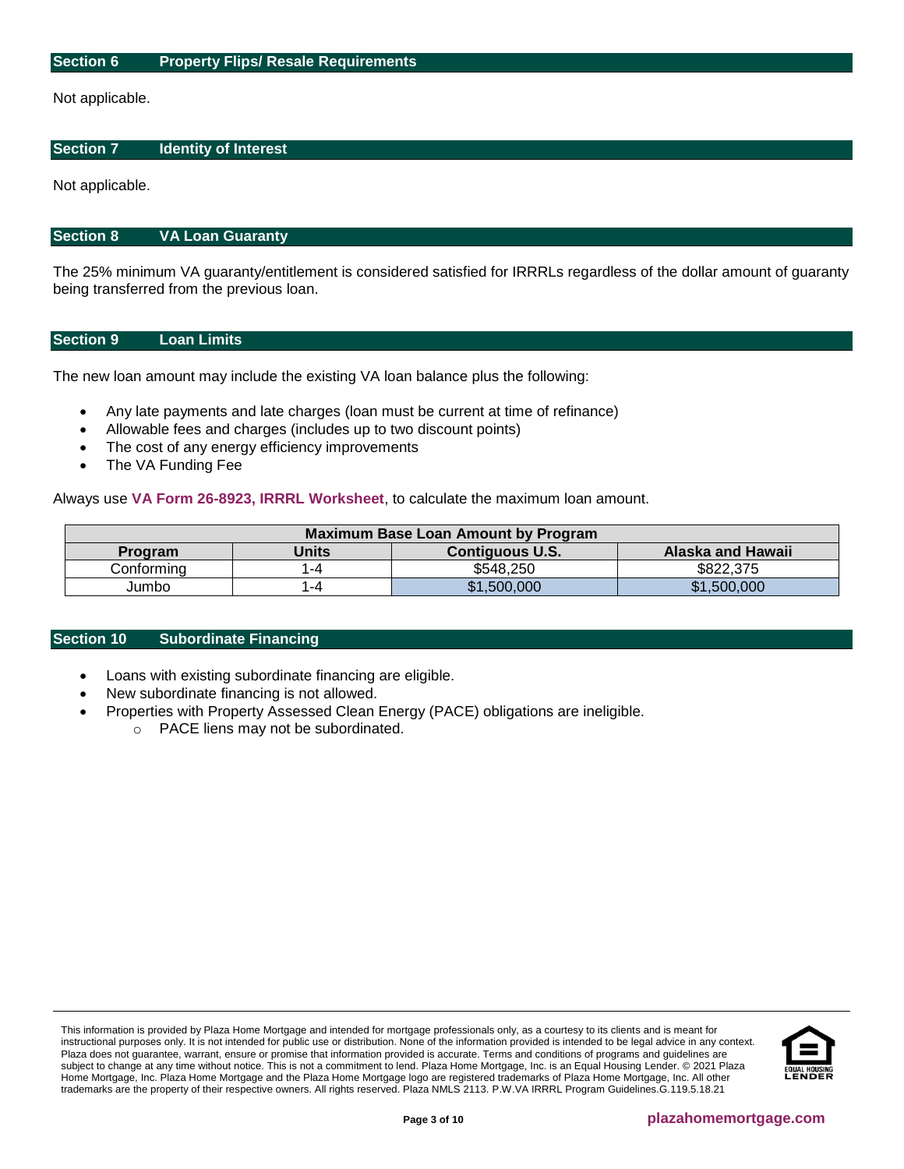## <span id="page-2-0"></span>**Section 6 Property Flips/ Resale Requirements**

Not applicable.

#### <span id="page-2-1"></span>**Section 7 Identity of Interest**

Not applicable.

#### <span id="page-2-2"></span>**Section 8 VA Loan Guaranty**

The 25% minimum VA guaranty/entitlement is considered satisfied for IRRRLs regardless of the dollar amount of guaranty being transferred from the previous loan.

# <span id="page-2-3"></span>**Section 9 Loan Limits**

The new loan amount may include the existing VA loan balance plus the following:

- Any late payments and late charges (loan must be current at time of refinance)
- Allowable fees and charges (includes up to two discount points)
- The cost of any energy efficiency improvements
- The VA Funding Fee

Always use **[VA Form 26-8923, IRRRL Worksheet](http://www.vba.va.gov/pubs/forms/VBA-26-8923-ARE.pdf)**, to calculate the maximum loan amount.

| Maximum Base Loan Amount by Program |       |                        |                   |  |  |
|-------------------------------------|-------|------------------------|-------------------|--|--|
| <b>Program</b>                      | Units | <b>Contiguous U.S.</b> | Alaska and Hawaii |  |  |
| Conformina                          | -4    | \$548.250              | \$822,375         |  |  |
| Jumbo                               | -4    | \$1,500,000            | \$1,500,000       |  |  |

#### <span id="page-2-4"></span>**Section 10 Subordinate Financing**

- Loans with existing subordinate financing are eligible.
- New subordinate financing is not allowed.
- <span id="page-2-5"></span>• Properties with Property Assessed Clean Energy (PACE) obligations are ineligible.
	- o PACE liens may not be subordinated.

This information is provided by Plaza Home Mortgage and intended for mortgage professionals only, as a courtesy to its clients and is meant for instructional purposes only. It is not intended for public use or distribution. None of the information provided is intended to be legal advice in any context. Plaza does not guarantee, warrant, ensure or promise that information provided is accurate. Terms and conditions of programs and guidelines are subject to change at any time without notice. This is not a commitment to lend. Plaza Home Mortgage, Inc. is an Equal Housing Lender. © 2021 Plaza Home Mortgage, Inc. Plaza Home Mortgage and the Plaza Home Mortgage logo are registered trademarks of Plaza Home Mortgage, Inc. All other trademarks are the property of their respective owners. All rights reserved. Plaza NMLS 2113. P.W.VA IRRRL Program Guidelines.G.119.5.18.21

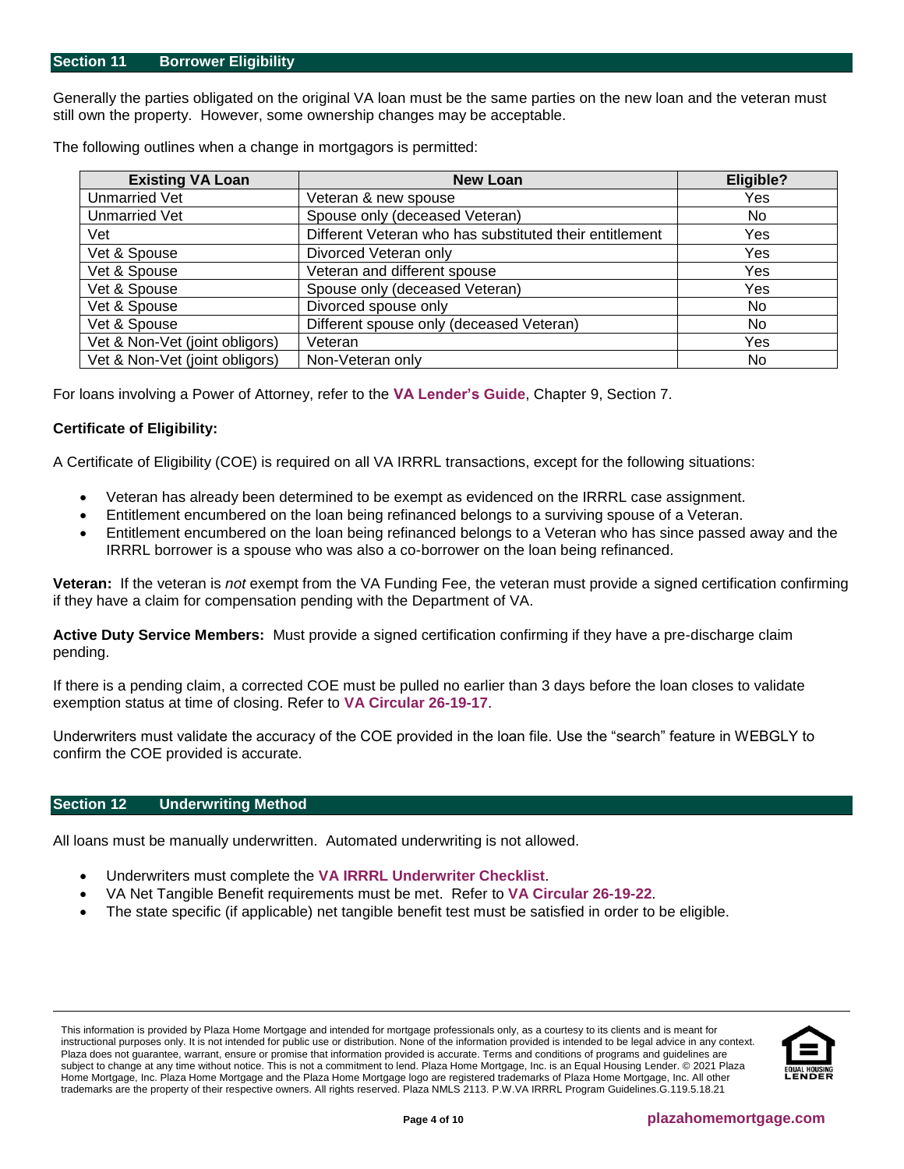Generally the parties obligated on the original VA loan must be the same parties on the new loan and the veteran must still own the property. However, some ownership changes may be acceptable.

| <b>Existing VA Loan</b>        | <b>New Loan</b>                                         | Eligible?      |
|--------------------------------|---------------------------------------------------------|----------------|
| <b>Unmarried Vet</b>           | Veteran & new spouse                                    | Yes            |
| <b>Unmarried Vet</b>           | Spouse only (deceased Veteran)                          | No.            |
| Vet                            | Different Veteran who has substituted their entitlement | Yes            |
| Vet & Spouse                   | Divorced Veteran only                                   | Yes            |
| Vet & Spouse                   | Veteran and different spouse                            | Yes            |
| Vet & Spouse                   | Spouse only (deceased Veteran)                          | Yes            |
| Vet & Spouse                   | Divorced spouse only                                    | N <sub>0</sub> |
| Vet & Spouse                   | Different spouse only (deceased Veteran)                | No             |
| Vet & Non-Vet (joint obligors) | Veteran                                                 | Yes            |
| Vet & Non-Vet (joint obligors) | Non-Veteran only                                        | No             |

The following outlines when a change in mortgagors is permitted:

For loans involving a Power of Attorney, refer to the **[VA Lender's](http://www.benefits.va.gov/WARMS/docs/admin26/pamphlet/pam26_7/Chap_9_April_2012_with_info_mapping.pdf) Guide**, Chapter 9, Section 7.

# **Certificate of Eligibility:**

A Certificate of Eligibility (COE) is required on all VA IRRRL transactions, except for the following situations:

- Veteran has already been determined to be exempt as evidenced on the IRRRL case assignment.
- Entitlement encumbered on the loan being refinanced belongs to a surviving spouse of a Veteran.
- Entitlement encumbered on the loan being refinanced belongs to a Veteran who has since passed away and the IRRRL borrower is a spouse who was also a co-borrower on the loan being refinanced.

**Veteran:** If the veteran is *not* exempt from the VA Funding Fee, the veteran must provide a signed certification confirming if they have a claim for compensation pending with the Department of VA.

**Active Duty Service Members:** Must provide a signed certification confirming if they have a pre-discharge claim pending.

If there is a pending claim, a corrected COE must be pulled no earlier than 3 days before the loan closes to validate exemption status at time of closing. Refer to **[VA Circular 26-19-17](https://www.benefits.va.gov/homeloans/documents/circulars/26_19_17.pdf)**.

Underwriters must validate the accuracy of the COE provided in the loan file. Use the "search" feature in WEBGLY to confirm the COE provided is accurate.

# <span id="page-3-0"></span>**Section 12 Underwriting Method**

All loans must be manually underwritten. Automated underwriting is not allowed.

- Underwriters must complete the **[VA IRRRL Underwriter Checklist](https://resourcecenter.plazahomemortgage.com/PHMIDocPublisher.nsf/All/EAEE227E964A7B7188257F68007717C5?OpenDocument)**.
- VA Net Tangible Benefit requirements must be met. Refer to **[VA Circular 26-19-22](https://www.benefits.va.gov/HOMELOANS/documents/circulars/26_19_22.pdf)**.
- The state specific (if applicable) net tangible benefit test must be satisfied in order to be eligible.

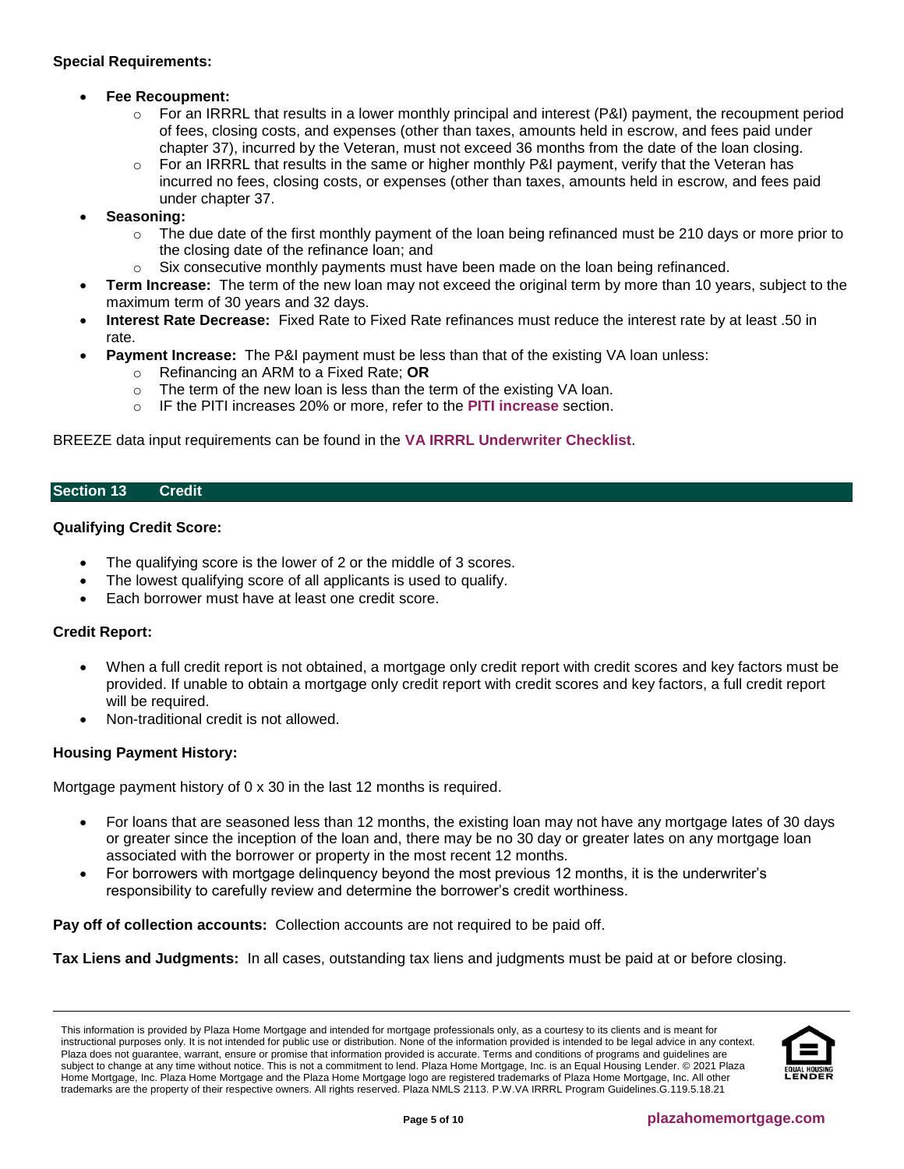# **Special Requirements:**

# • **Fee Recoupment:**

- $\circ$  For an IRRRL that results in a lower monthly principal and interest (P&I) payment, the recoupment period of fees, closing costs, and expenses (other than taxes, amounts held in escrow, and fees paid under chapter 37), incurred by the Veteran, must not exceed 36 months from the date of the loan closing.
- $\circ$  For an IRRRL that results in the same or higher monthly P&I payment, verify that the Veteran has incurred no fees, closing costs, or expenses (other than taxes, amounts held in escrow, and fees paid under chapter 37.
- **Seasoning:**
	- $\circ$  The due date of the first monthly payment of the loan being refinanced must be 210 days or more prior to the closing date of the refinance loan; and
	- $\circ$  Six consecutive monthly payments must have been made on the loan being refinanced.
- **Term Increase:** The term of the new loan may not exceed the original term by more than 10 years, subject to the maximum term of 30 years and 32 days.
- **Interest Rate Decrease:** Fixed Rate to Fixed Rate refinances must reduce the interest rate by at least .50 in rate.
- **Payment Increase:** The P&I payment must be less than that of the existing VA loan unless:
	- o Refinancing an ARM to a Fixed Rate; **OR**
	- o The term of the new loan is less than the term of the existing VA loan.
	- o IF the PITI increases 20% or more, refer to the **[PITI increase](#page-5-2)** section.

BREEZE data input requirements can be found in the **[VA IRRRL Underwriter Checklist](https://resourcecenter.plazahomemortgage.com/PHMIDocPublisher.nsf/All/EAEE227E964A7B7188257F68007717C5?OpenDocument)**.

# <span id="page-4-0"></span>**Section 13 Credit**

# **Qualifying Credit Score:**

- The qualifying score is the lower of 2 or the middle of 3 scores.
- The lowest qualifying score of all applicants is used to qualify.
- Each borrower must have at least one credit score.

# **Credit Report:**

- When a full credit report is not obtained, a mortgage only credit report with credit scores and key factors must be provided. If unable to obtain a mortgage only credit report with credit scores and key factors, a full credit report will be required.
- Non-traditional credit is not allowed.

# **Housing Payment History:**

Mortgage payment history of 0 x 30 in the last 12 months is required.

- For loans that are seasoned less than 12 months, the existing loan may not have any mortgage lates of 30 days or greater since the inception of the loan and, there may be no 30 day or greater lates on any mortgage loan associated with the borrower or property in the most recent 12 months.
- For borrowers with mortgage delinquency beyond the most previous 12 months, it is the underwriter's responsibility to carefully review and determine the borrower's credit worthiness.

**Pay off of collection accounts:** Collection accounts are not required to be paid off.

**Tax Liens and Judgments:** In all cases, outstanding tax liens and judgments must be paid at or before closing.

This information is provided by Plaza Home Mortgage and intended for mortgage professionals only, as a courtesy to its clients and is meant for instructional purposes only. It is not intended for public use or distribution. None of the information provided is intended to be legal advice in any context. Plaza does not guarantee, warrant, ensure or promise that information provided is accurate. Terms and conditions of programs and guidelines are subject to change at any time without notice. This is not a commitment to lend. Plaza Home Mortgage, Inc. is an Equal Housing Lender. © 2021 Plaza Home Mortgage, Inc. Plaza Home Mortgage and the Plaza Home Mortgage logo are registered trademarks of Plaza Home Mortgage, Inc. All other trademarks are the property of their respective owners. All rights reserved. Plaza NMLS 2113. P.W.VA IRRRL Program Guidelines.G.119.5.18.21

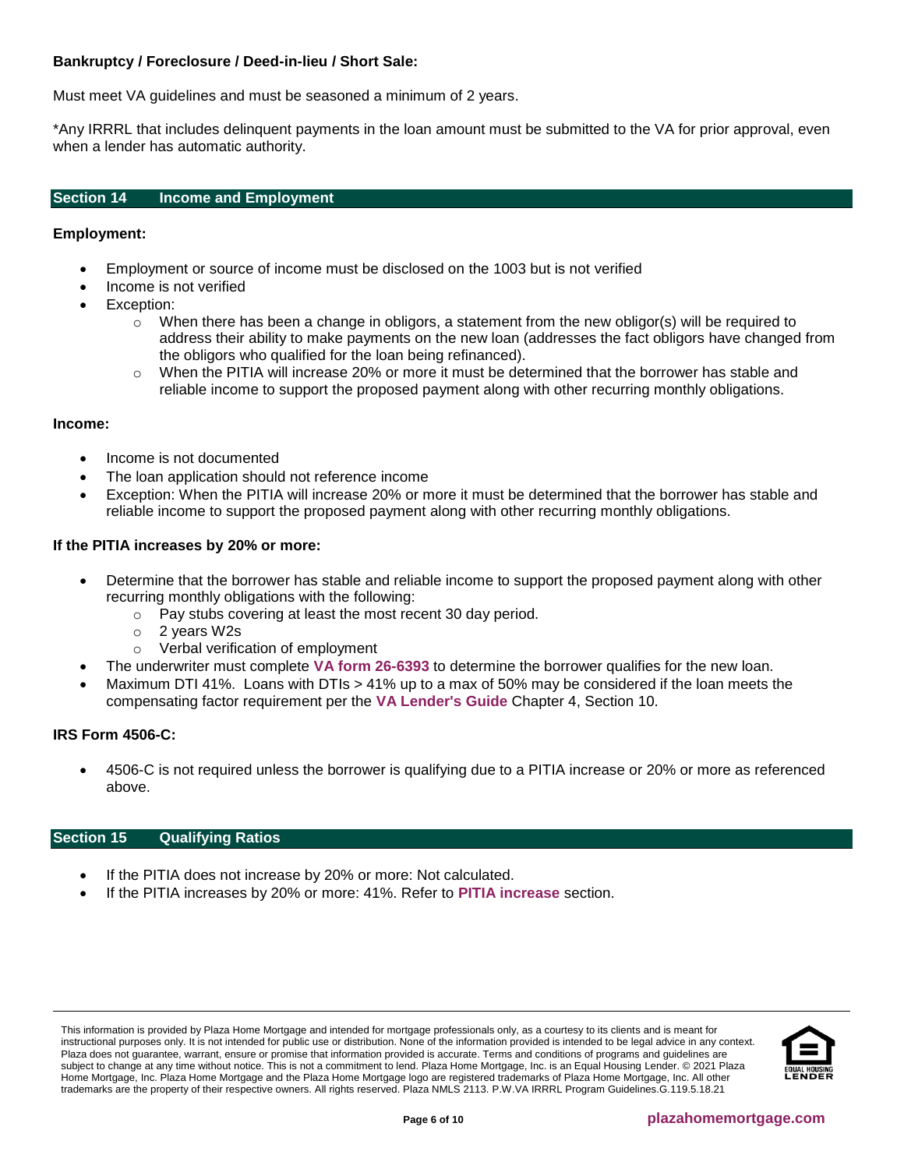# **Bankruptcy / Foreclosure / Deed-in-lieu / Short Sale:**

Must meet VA guidelines and must be seasoned a minimum of 2 years.

\*Any IRRRL that includes delinquent payments in the loan amount must be submitted to the VA for prior approval, even when a lender has automatic authority.

# <span id="page-5-0"></span>**Section 14 Income and Employment**

## **Employment:**

- Employment or source of income must be disclosed on the 1003 but is not verified
- Income is not verified
- Exception:
	- $\circ$  When there has been a change in obligors, a statement from the new obligor(s) will be required to address their ability to make payments on the new loan (addresses the fact obligors have changed from the obligors who qualified for the loan being refinanced).
	- $\circ$  When the PITIA will increase 20% or more it must be determined that the borrower has stable and reliable income to support the proposed payment along with other recurring monthly obligations.

#### **Income:**

- Income is not documented
- The loan application should not reference income
- Exception: When the PITIA will increase 20% or more it must be determined that the borrower has stable and reliable income to support the proposed payment along with other recurring monthly obligations.

#### <span id="page-5-2"></span>**If the PITIA increases by 20% or more:**

- Determine that the borrower has stable and reliable income to support the proposed payment along with other recurring monthly obligations with the following:
	- o Pay stubs covering at least the most recent 30 day period.
	- o 2 years W2s
	- o Verbal verification of employment
- The underwriter must complete **[VA form 26-6393](http://www.vba.va.gov/pubs/forms/VBA-26-6393-ARE.pdf)** to determine the borrower qualifies for the new loan.
- Maximum DTI 41%. Loans with DTIs > 41% up to a max of 50% may be considered if the loan meets the compensating factor requirement per the **[VA Lender's Guide](http://www.benefits.va.gov/warms/pam26_7.asp)** Chapter 4, Section 10.

#### **IRS Form 4506-C:**

• 4506-C is not required unless the borrower is qualifying due to a PITIA increase or 20% or more as referenced above.

## <span id="page-5-1"></span>**Section 15 Qualifying Ratios**

- If the PITIA does not increase by 20% or more: Not calculated.
- If the PITIA increases by 20% or more: 41%. Refer to **[PITIA increase](#page-5-2)** section.

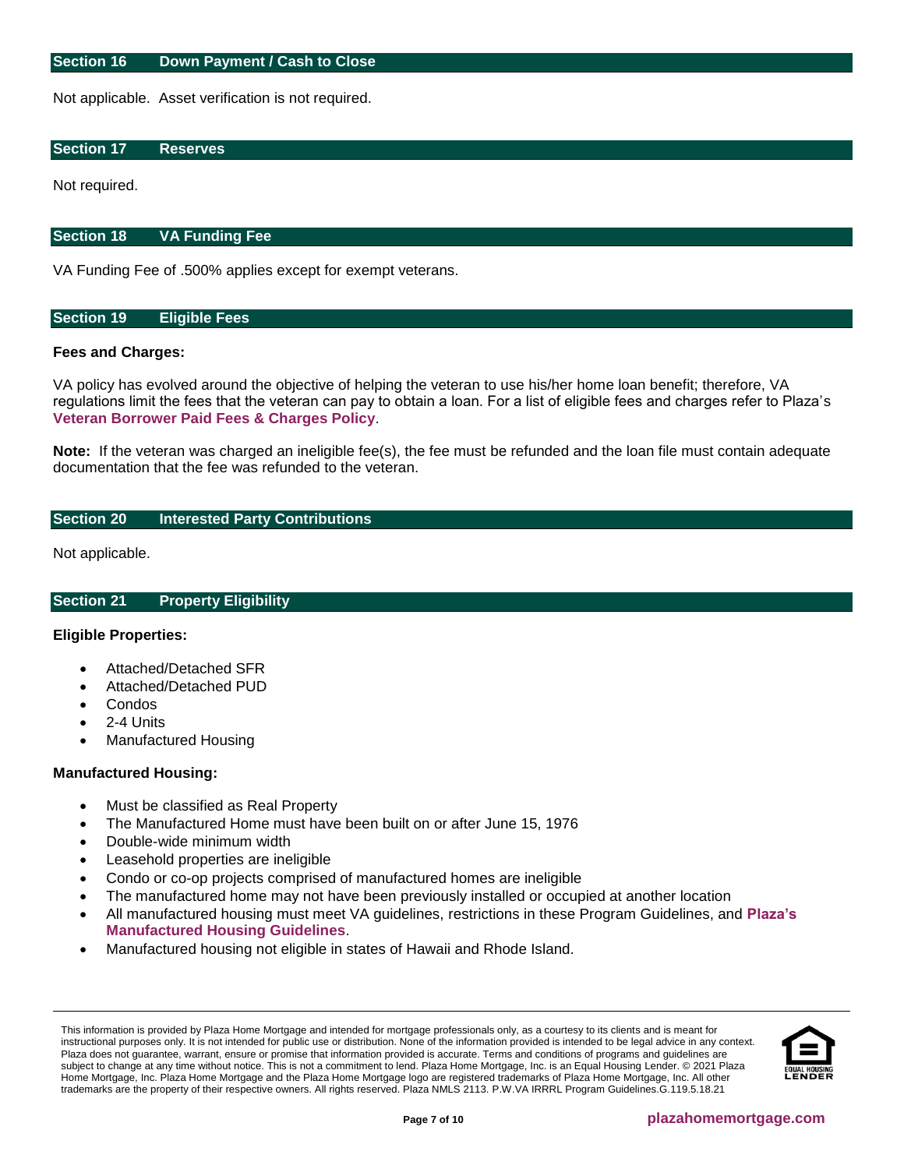#### <span id="page-6-0"></span>**Section 16 Down Payment / Cash to Close**

Not applicable. Asset verification is not required.

# <span id="page-6-1"></span>**Section 17 Reserves**

Not required.

# <span id="page-6-2"></span>**Section 18 VA Funding Fee**

VA Funding Fee of .500% applies except for exempt veterans.

# <span id="page-6-3"></span>**Section 19 Eligible Fees**

# **Fees and Charges:**

VA policy has evolved around the objective of helping the veteran to use his/her home loan benefit; therefore, VA regulations limit the fees that the veteran can pay to obtain a loan. For a list of eligible fees and charges refer to Plaza's **[Veteran Borrower Paid Fees & Charges Policy](http://resourcecenter.plazahomemortgage.com/phmidocpublisher.nsf/All/7219FDEE937E729B07257E8B005CF684?OpenDocument)**.

**Note:** If the veteran was charged an ineligible fee(s), the fee must be refunded and the loan file must contain adequate documentation that the fee was refunded to the veteran.

# <span id="page-6-4"></span>**Section 20 Interested Party Contributions**

Not applicable.

<span id="page-6-5"></span>**Section 21 Property Eligibility**

# **Eligible Properties:**

- Attached/Detached SFR
- Attached/Detached PUD
- Condos
- 2-4 Units
- Manufactured Housing

# **Manufactured Housing:**

- Must be classified as Real Property
- The Manufactured Home must have been built on or after June 15, 1976
- Double-wide minimum width
- Leasehold properties are ineligible
- Condo or co-op projects comprised of manufactured homes are ineligible
- The manufactured home may not have been previously installed or occupied at another location
- All manufactured housing must meet VA guidelines, restrictions in these Program Guidelines, and **[Plaza's](https://resourcecenter.plazahomemortgage.com/phmidocpublisher.nsf/All/F80CDE97BD14D52C8825805A00682B1E?OpenDocument&STATUS=PUBLISHED)  [Manufactured Housing Guidelines](https://resourcecenter.plazahomemortgage.com/phmidocpublisher.nsf/All/F80CDE97BD14D52C8825805A00682B1E?OpenDocument&STATUS=PUBLISHED)**.
- Manufactured housing not eligible in states of Hawaii and Rhode Island.

This information is provided by Plaza Home Mortgage and intended for mortgage professionals only, as a courtesy to its clients and is meant for instructional purposes only. It is not intended for public use or distribution. None of the information provided is intended to be legal advice in any context. Plaza does not guarantee, warrant, ensure or promise that information provided is accurate. Terms and conditions of programs and guidelines are subject to change at any time without notice. This is not a commitment to lend. Plaza Home Mortgage, Inc. is an Equal Housing Lender. © 2021 Plaza Home Mortgage, Inc. Plaza Home Mortgage and the Plaza Home Mortgage logo are registered trademarks of Plaza Home Mortgage, Inc. All other trademarks are the property of their respective owners. All rights reserved. Plaza NMLS 2113. P.W.VA IRRRL Program Guidelines.G.119.5.18.21

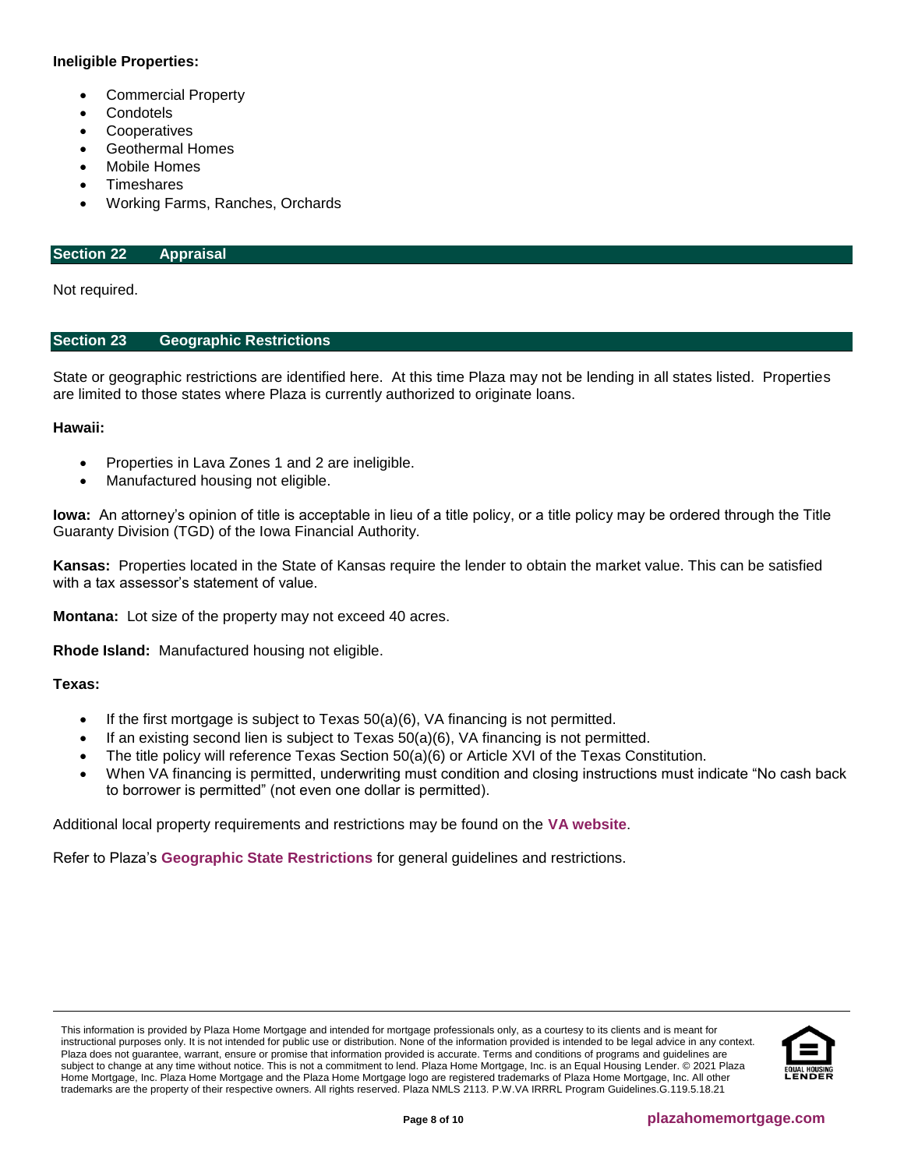# **Ineligible Properties:**

- Commercial Property
- **Condotels**
- **Cooperatives**
- Geothermal Homes
- Mobile Homes
- **Timeshares**
- Working Farms, Ranches, Orchards

## <span id="page-7-1"></span>**Section 22 Appraisal**

Not required.

# <span id="page-7-0"></span>**Section 23 Geographic Restrictions**

State or geographic restrictions are identified here. At this time Plaza may not be lending in all states listed. Properties are limited to those states where Plaza is currently authorized to originate loans.

# **Hawaii:**

- Properties in Lava Zones 1 and 2 are ineligible.
- Manufactured housing not eligible.

**Iowa:** An attorney's opinion of title is acceptable in lieu of a title policy, or a title policy may be ordered through the Title Guaranty Division (TGD) of the Iowa Financial Authority.

**Kansas:** Properties located in the State of Kansas require the lender to obtain the market value. This can be satisfied with a tax assessor's statement of value.

**Montana:** Lot size of the property may not exceed 40 acres.

**Rhode Island:** Manufactured housing not eligible.

# **Texas:**

- If the first mortgage is subject to Texas  $50(a)(6)$ , VA financing is not permitted.
- If an existing second lien is subject to Texas  $50(a)(6)$ , VA financing is not permitted.
- The title policy will reference Texas Section 50(a)(6) or Article XVI of the Texas Constitution.
- When VA financing is permitted, underwriting must condition and closing instructions must indicate "No cash back to borrower is permitted" (not even one dollar is permitted).

Additional local property requirements and restrictions may be found on the **[VA website](http://www.benefits.va.gov/homeloans/cav_approved_local_conditions.asp)**.

Refer to Plaza's **[Geographic State Restrictions](http://resourcecenter.plazahomemortgage.com/phmidocpublisher.nsf/All/4D05932DD7438704072579D8007C12D7?OpenDocument)** for general guidelines and restrictions.

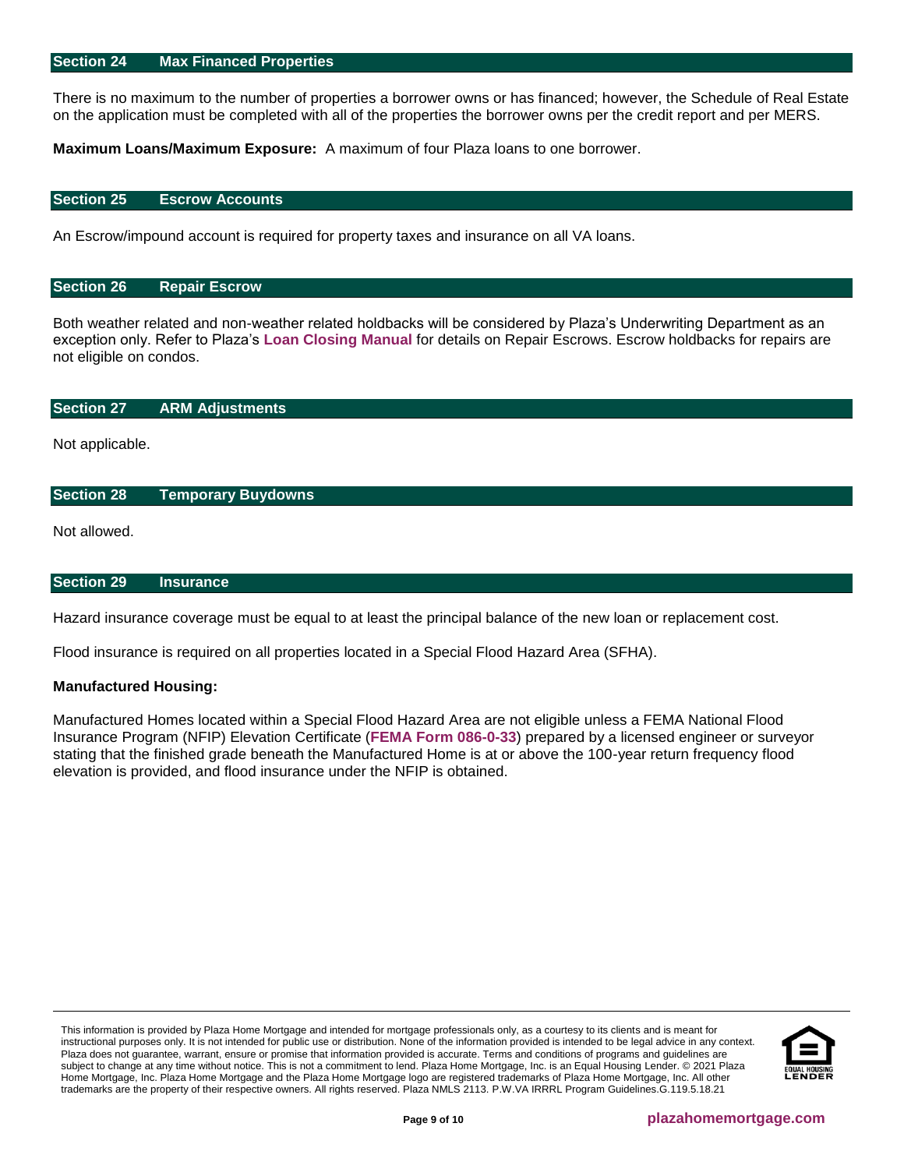#### <span id="page-8-0"></span>**Section 24 Max Financed Properties**

There is no maximum to the number of properties a borrower owns or has financed; however, the Schedule of Real Estate on the application must be completed with all of the properties the borrower owns per the credit report and per MERS.

**Maximum Loans/Maximum Exposure:** A maximum of four Plaza loans to one borrower.

#### <span id="page-8-1"></span>**Section 25 Escrow Accounts**

An Escrow/impound account is required for property taxes and insurance on all VA loans.

#### <span id="page-8-2"></span>**Section 26 Repair Escrow**

Both weather related and non-weather related holdbacks will be considered by Plaza's Underwriting Department as an exception only. Refer to Plaza's **[Loan Closing Manual](http://resourcecenter.plazahomemortgage.com/phmidocpublisher.nsf/All/532EDA617B4E7F1A07257A330057B5D5?OpenDocument)** for details on Repair Escrows. Escrow holdbacks for repairs are not eligible on condos.

#### <span id="page-8-3"></span>**Section 27 ARM Adjustments**

Not applicable.

#### <span id="page-8-4"></span>**Section 28 Temporary Buydowns**

Not allowed.

#### <span id="page-8-5"></span>**Section 29 Insurance**

Hazard insurance coverage must be equal to at least the principal balance of the new loan or replacement cost.

Flood insurance is required on all properties located in a Special Flood Hazard Area (SFHA).

#### **Manufactured Housing:**

Manufactured Homes located within a Special Flood Hazard Area are not eligible unless a FEMA National Flood Insurance Program (NFIP) Elevation Certificate (**[FEMA Form 086-0-33](https://www.fema.gov/media-library/assets/documents/160)**) prepared by a licensed engineer or surveyor stating that the finished grade beneath the Manufactured Home is at or above the 100-year return frequency flood elevation is provided, and flood insurance under the NFIP is obtained.